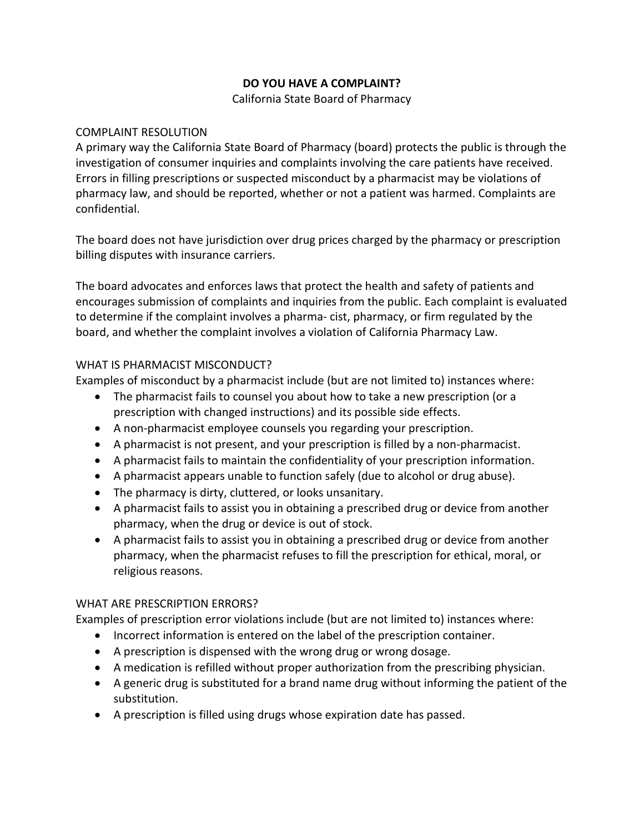## **DO YOU HAVE A COMPLAINT?**

California State Board of Pharmacy

#### COMPLAINT RESOLUTION

 A primary way the California State Board of Pharmacy (board) protects the public is through the investigation of consumer inquiries and complaints involving the care patients have received. Errors in filling prescriptions or suspected misconduct by a pharmacist may be violations of pharmacy law, and should be reported, whether or not a patient was harmed. Complaints are confidential.

The board does not have jurisdiction over drug prices charged by the pharmacy or prescription billing disputes with insurance carriers.

 to determine if the complaint involves a pharma- cist, pharmacy, or firm regulated by the The board advocates and enforces laws that protect the health and safety of patients and encourages submission of complaints and inquiries from the public. Each complaint is evaluated board, and whether the complaint involves a violation of California Pharmacy Law.

### WHAT IS PHARMACIST MISCONDUCT?

Examples of misconduct by a pharmacist include (but are not limited to) instances where:

- The pharmacist fails to counsel you about how to take a new prescription (or a prescription with changed instructions) and its possible side effects.
- A non-pharmacist employee counsels you regarding your prescription.
- A pharmacist is not present, and your prescription is filled by a non-pharmacist.
- A pharmacist fails to maintain the confidentiality of your prescription information.
- A pharmacist appears unable to function safely (due to alcohol or drug abuse).
- The pharmacy is dirty, cluttered, or looks unsanitary.
- • A pharmacist fails to assist you in obtaining a prescribed drug or device from another pharmacy, when the drug or device is out of stock.
- • A pharmacist fails to assist you in obtaining a prescribed drug or device from another pharmacy, when the pharmacist refuses to fill the prescription for ethical, moral, or religious reasons.

# WHAT ARE PRESCRIPTION ERRORS?

Examples of prescription error violations include (but are not limited to) instances where:

- Incorrect information is entered on the label of the prescription container.
- A prescription is dispensed with the wrong drug or wrong dosage.
- A medication is refilled without proper authorization from the prescribing physician.
- A generic drug is substituted for a brand name drug without informing the patient of the substitution.
- A prescription is filled using drugs whose expiration date has passed.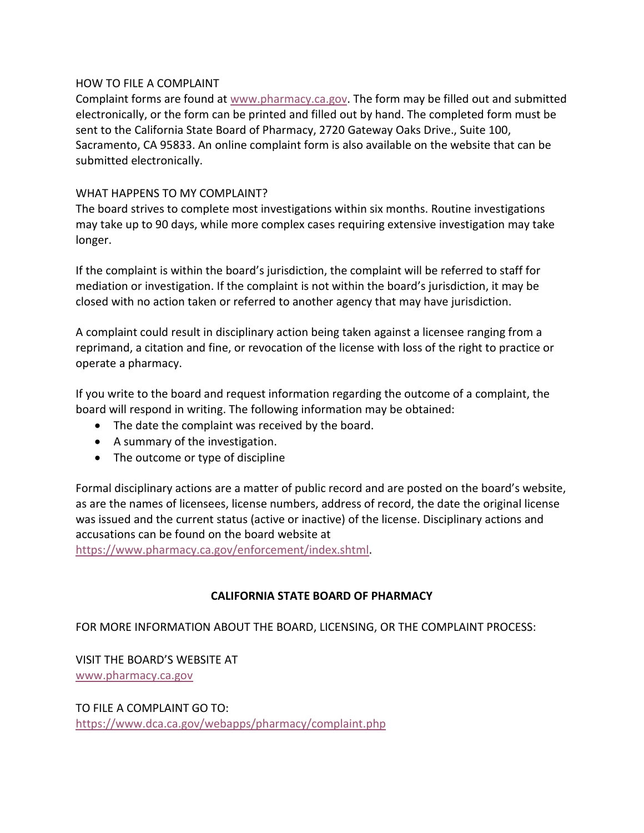#### HOW TO FILE A COMPLAINT

Complaint forms are found at [www.pharmacy.ca.gov.](http://www.pharmacy.ca.gov/) The form may be filled out and submitted electronically, or the form can be printed and filled out by hand. The completed form must be sent to the California State Board of Pharmacy, 2720 Gateway Oaks Drive., Suite 100, Sacramento, CA 95833. An online complaint form is also available on the website that can be submitted electronically.

### WHAT HAPPENS TO MY COMPLAINT?

The board strives to complete most investigations within six months. Routine investigations may take up to 90 days, while more complex cases requiring extensive investigation may take longer.

 mediation or investigation. If the complaint is not within the board's jurisdiction, it may be closed with no action taken or referred to another agency that may have jurisdiction. If the complaint is within the board's jurisdiction, the complaint will be referred to staff for

 reprimand, a citation and fine, or revocation of the license with loss of the right to practice or A complaint could result in disciplinary action being taken against a licensee ranging from a operate a pharmacy.

 board will respond in writing. The following information may be obtained: If you write to the board and request information regarding the outcome of a complaint, the

- The date the complaint was received by the board.
- A summary of the investigation.
- The outcome or type of discipline

 Formal disciplinary actions are a matter of public record and are posted on the board's website, as are the names of licensees, license numbers, address of record, the date the original license was issued and the current status (active or inactive) of the license. Disciplinary actions and accusations can be found on the board website at

[https://www.pharmacy.ca.gov/enforcement/index.shtml.](https://www.pharmacy.ca.gov/enforcement/index.shtml)

# **CALIFORNIA STATE BOARD OF PHARMACY**

FOR MORE INFORMATION ABOUT THE BOARD, LICENSING, OR THE COMPLAINT PROCESS:

VISIT THE BOARD'S WEBSITE AT [www.pharmacy.ca.gov](http://www.pharmacy.ca.gov/) 

TO FILE A COMPLAINT GO TO: <https://www.dca.ca.gov/webapps/pharmacy/complaint.php>